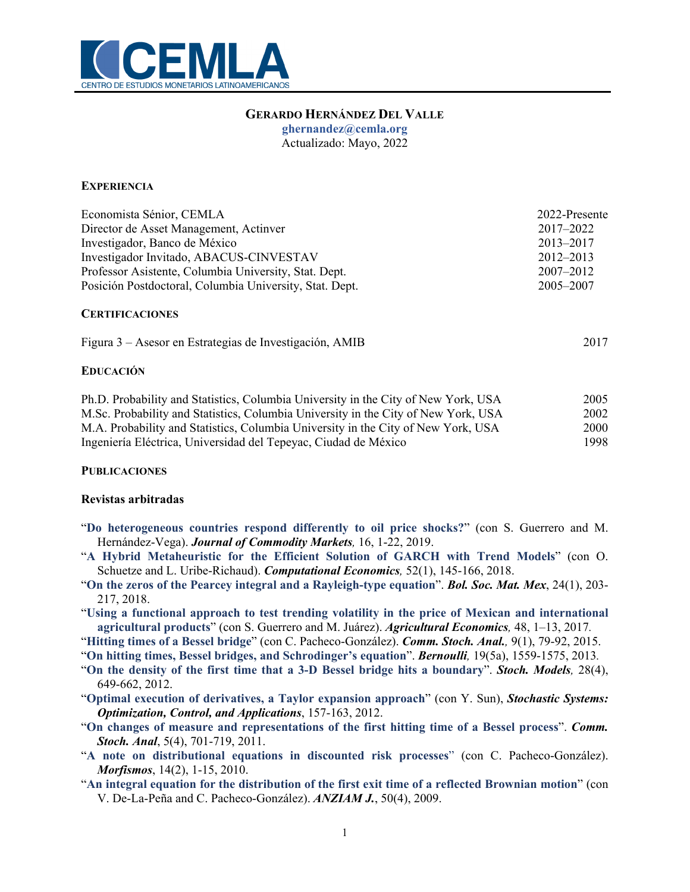

# **GERARDO HERNÁNDEZ DEL VALLE**

**ghernandez@cemla.org**

Actualizado: Mayo, 2022

## **EXPERIENCIA**

| Economista Sénior, CEMLA                                | 2022-Presente |  |
|---------------------------------------------------------|---------------|--|
| Director de Asset Management, Actinver                  | 2017–2022     |  |
| Investigador, Banco de México                           | 2013-2017     |  |
| Investigador Invitado, ABACUS-CINVESTAV                 | $2012 - 2013$ |  |
| Professor Asistente, Columbia University, Stat. Dept.   | $2007 - 2012$ |  |
| Posición Postdoctoral, Columbia University, Stat. Dept. | 2005–2007     |  |

### **CERTIFICACIONES**

|  | Figura 3 – Asesor en Estrategias de Investigación, AMIB | 2017 |
|--|---------------------------------------------------------|------|
|  |                                                         |      |

### **EDUCACIÓN**

| Ph.D. Probability and Statistics, Columbia University in the City of New York, USA | 2005 |
|------------------------------------------------------------------------------------|------|
| M.Sc. Probability and Statistics, Columbia University in the City of New York, USA | 2002 |
| M.A. Probability and Statistics, Columbia University in the City of New York, USA  | 2000 |
| Ingeniería Eléctrica, Universidad del Tepeyac, Ciudad de México                    | 1998 |

#### **PUBLICACIONES**

#### **Revistas arbitradas**

- "**Do heterogeneous countries respond differently to oil price shocks?**" (con S. Guerrero and M. Hernández-Vega). *Journal of Commodity Markets,* 16, 1-22, 2019.
- "**A Hybrid Metaheuristic for the Efficient Solution of GARCH with Trend Models**" (con O. Schuetze and L. Uribe-Richaud). *Computational Economics,* 52(1), 145-166, 2018.
- "**On the zeros of the Pearcey integral and a Rayleigh-type equation**". *Bol. Soc. Mat. Mex*, 24(1), 203- 217, 2018.
- "**Using a functional approach to test trending volatility in the price of Mexican and international agricultural products**" (con S. Guerrero and M. Juárez). *Agricultural Economics,* 48, 1–13, 2017*.*

"**Hitting times of a Bessel bridge**" (con C. Pacheco-González). *Comm. Stoch. Anal.,* 9(1), 79-92, 2015.

"**On hitting times, Bessel bridges, and Schrodinger's equation**". *Bernoulli,* 19(5a), 1559-1575, 2013*.*

- "**On the density of the first time that a 3-D Bessel bridge hits a boundary**". *Stoch. Models,* 28(4), 649-662, 2012.
- "**Optimal execution of derivatives, a Taylor expansion approach**" (con Y. Sun), *Stochastic Systems: Optimization, Control, and Applications*, 157-163, 2012.
- "**On changes of measure and representations of the first hitting time of a Bessel process**". *Comm. Stoch. Anal*, 5(4), 701-719, 2011.
- "**A note on distributional equations in discounted risk processes**" (con C. Pacheco-González). *Morfismos*, 14(2), 1-15, 2010.
- "**An integral equation for the distribution of the first exit time of a reflected Brownian motion**" (con V. De-La-Peña and C. Pacheco-González). *ANZIAM J.*, 50(4), 2009.